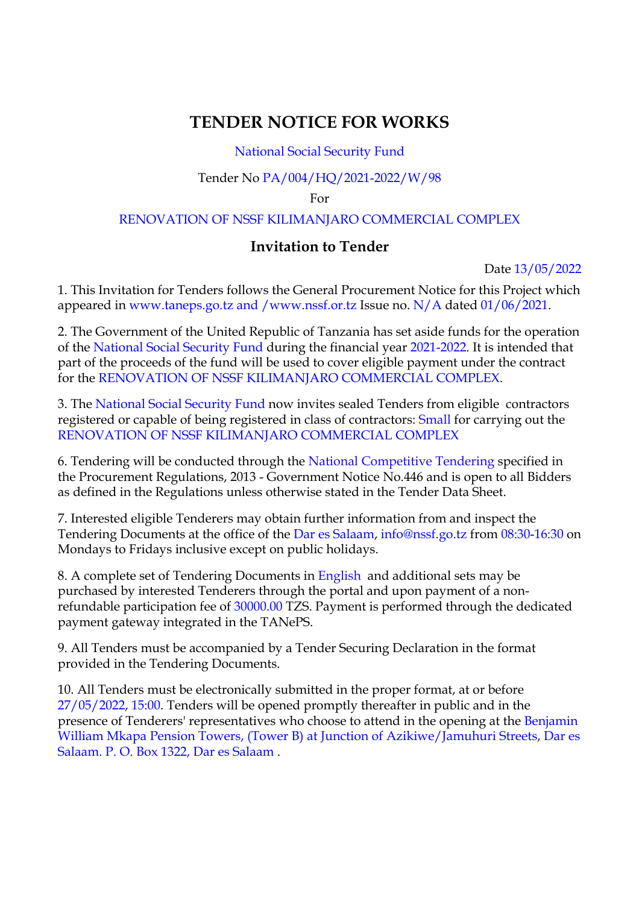# **TENDER NOTICE FOR WORKS**

### National Social Security Fund

### Tender No PA/004/HQ/2021-2022/W/98

For

### RENOVATION OF NSSF KILIMANJARO COMMERCIAL COMPLEX

# **Invitation to Tender**

Date 13/05/2022

1. This Invitation for Tenders follows the General Procurement Notice for this Project which appeared in www.taneps.go.tz and /www.nssf.or.tz Issue no. N/A dated 01/06/2021.

2. The Government of the United Republic of Tanzania has set aside funds for the operation of the National Social Security Fund during the financial year 2021-2022. It is intended that part of the proceeds of the fund will be used to cover eligible payment under the contract for the RENOVATION OF NSSF KILIMANJARO COMMERCIAL COMPLEX.

3. The National Social Security Fund now invites sealed Tenders from eligible contractors registered or capable of being registered in class of contractors: Small for carrying out the RENOVATION OF NSSF KILIMANJARO COMMERCIAL COMPLEX

6. Tendering will be conducted through the National Competitive Tendering specified in the Procurement Regulations, 2013 - Government Notice No.446 and is open to all Bidders as defined in the Regulations unless otherwise stated in the Tender Data Sheet.

7. Interested eligible Tenderers may obtain further information from and inspect the Tendering Documents at the office of the Dar es Salaam, info@nssf.go.tz from 08:30-16:30 on Mondays to Fridays inclusive except on public holidays.

8. A complete set of Tendering Documents in English and additional sets may be purchased by interested Tenderers through the portal and upon payment of a nonrefundable participation fee of 30000.00 TZS. Payment is performed through the dedicated payment gateway integrated in the TANePS.

9. All Tenders must be accompanied by a Tender Securing Declaration in the format provided in the Tendering Documents.

10. All Tenders must be electronically submitted in the proper format, at or before 27/05/2022, 15:00. Tenders will be opened promptly thereafter in public and in the presence of Tenderers' representatives who choose to attend in the opening at the Benjamin William Mkapa Pension Towers, (Tower B) at Junction of Azikiwe/Jamuhuri Streets, Dar es Salaam. P. O. Box 1322, Dar es Salaam .